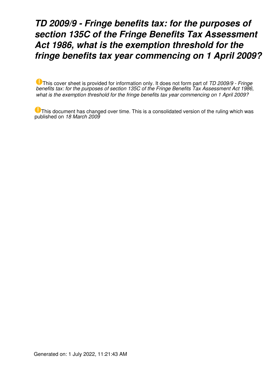## *TD 2009/9 - Fringe benefits tax: for the purposes of section 135C of the Fringe Benefits Tax Assessment Act 1986, what is the exemption threshold for the fringe benefits tax year commencing on 1 April 2009?*

This cover sheet is provided for information only. It does not form part of *TD 2009/9 - Fringe benefits tax: for the purposes of section 135C of the Fringe Benefits Tax Assessment Act 1986, what is the exemption threshold for the fringe benefits tax year commencing on 1 April 2009?*

This document has changed over time. This is a consolidated version of the ruling which was published on *18 March 2009*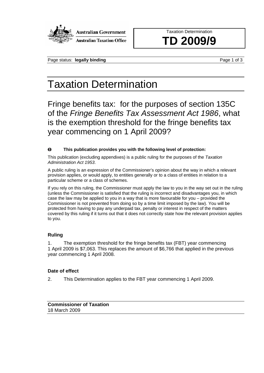

**Australian Government** 

**Australian Taxation Office** 

Taxation Determination **TD 2009/9**

Page status: **legally binding** Page 1 of 3

# Taxation Determination

Fringe benefits tax: for the purposes of section 135C of the *Fringe Benefits Tax Assessment Act 1986*, what is the exemption threshold for the fringe benefits tax year commencing on 1 April 2009?

#### $\bullet$ **This publication provides you with the following level of protection:**

This publication (excluding appendixes) is a public ruling for the purposes of the *Taxation Administration Act 1953*.

A public ruling is an expression of the Commissioner's opinion about the way in which a relevant provision applies, or would apply, to entities generally or to a class of entities in relation to a particular scheme or a class of schemes.

If you rely on this ruling, the Commissioner must apply the law to you in the way set out in the ruling (unless the Commissioner is satisfied that the ruling is incorrect and disadvantages you, in which case the law may be applied to you in a way that is more favourable for you – provided the Commissioner is not prevented from doing so by a time limit imposed by the law). You will be protected from having to pay any underpaid tax, penalty or interest in respect of the matters covered by this ruling if it turns out that it does not correctly state how the relevant provision applies to you.

### **Ruling**

1. The exemption threshold for the fringe benefits tax (FBT) year commencing 1 April 2009 is \$7,063. This replaces the amount of \$6,766 that applied in the previous year commencing 1 April 2008.

### **Date of effect**

2. This Determination applies to the FBT year commencing 1 April 2009.

**Commissioner of Taxation** 18 March 2009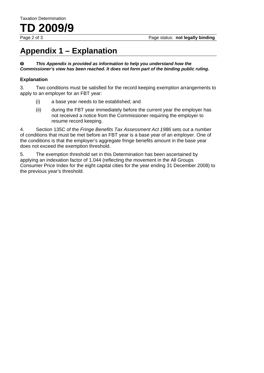**TD 2009/9** 

## **Appendix 1 – Explanation**

*This Appendix is provided as information to help you understand how the*   $\bf{O}$ *Commissioner's view has been reached. It does not form part of the binding public ruling.* 

#### **Explanation**

3. Two conditions must be satisfied for the record keeping exemption arrangements to apply to an employer for an FBT year:

- (i) a base year needs to be established; and
- (ii) during the FBT year immediately before the current year the employer has not received a notice from the Commissioner requiring the employer to resume record keeping.

4. Section 135C of the *Fringe Benefits Tax Assessment Act 1986* sets out a number of conditions that must be met before an FBT year is a base year of an employer. One of the conditions is that the employer's aggregate fringe benefits amount in the base year does not exceed the exemption threshold.

5. The exemption threshold set in this Determination has been ascertained by applying an indexation factor of 1.044 (reflecting the movement in the All Groups Consumer Price Index for the eight capital cities for the year ending 31 December 2008) to the previous year's threshold.